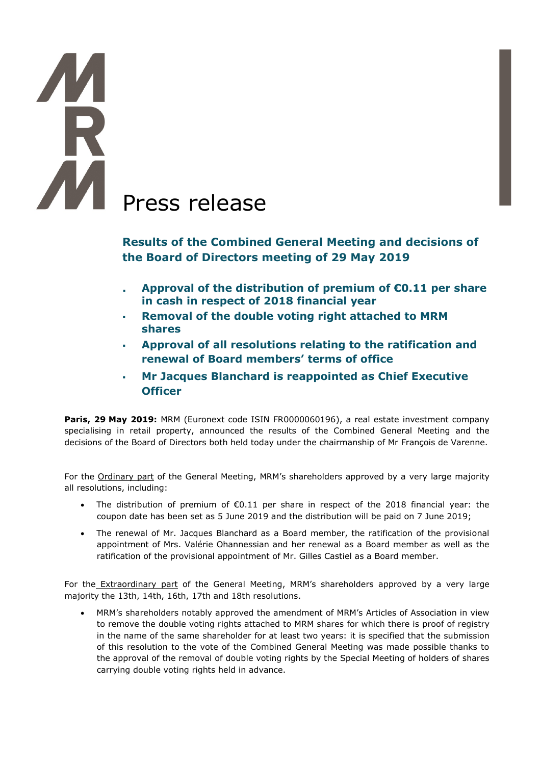## **TA**<br>R **AN** Press release

**Results of the Combined General Meeting and decisions of the Board of Directors meeting of 29 May 2019**

- **. Approval of the distribution of premium of €0.11 per share in cash in respect of 2018 financial year**
- **Removal of the double voting right attached to MRM shares**
- **Approval of all resolutions relating to the ratification and renewal of Board members' terms of office**
- **Mr Jacques Blanchard is reappointed as Chief Executive Officer**

**Paris, 29 May 2019:** MRM (Euronext code ISIN FR0000060196), a real estate investment company specialising in retail property, announced the results of the Combined General Meeting and the decisions of the Board of Directors both held today under the chairmanship of Mr François de Varenne.

For the Ordinary part of the General Meeting, MRM's shareholders approved by a very large majority all resolutions, including:

- The distribution of premium of  $\epsilon$ 0.11 per share in respect of the 2018 financial year: the coupon date has been set as 5 June 2019 and the distribution will be paid on 7 June 2019;
- The renewal of Mr. Jacques Blanchard as a Board member, the ratification of the provisional appointment of Mrs. Valérie Ohannessian and her renewal as a Board member as well as the ratification of the provisional appointment of Mr. Gilles Castiel as a Board member.

For the Extraordinary part of the General Meeting, MRM's shareholders approved by a very large majority the 13th, 14th, 16th, 17th and 18th resolutions.

• MRM's shareholders notably approved the amendment of MRM's Articles of Association in view to remove the double voting rights attached to MRM shares for which there is proof of registry in the name of the same shareholder for at least two years: it is specified that the submission of this resolution to the vote of the Combined General Meeting was made possible thanks to the approval of the removal of double voting rights by the Special Meeting of holders of shares carrying double voting rights held in advance.